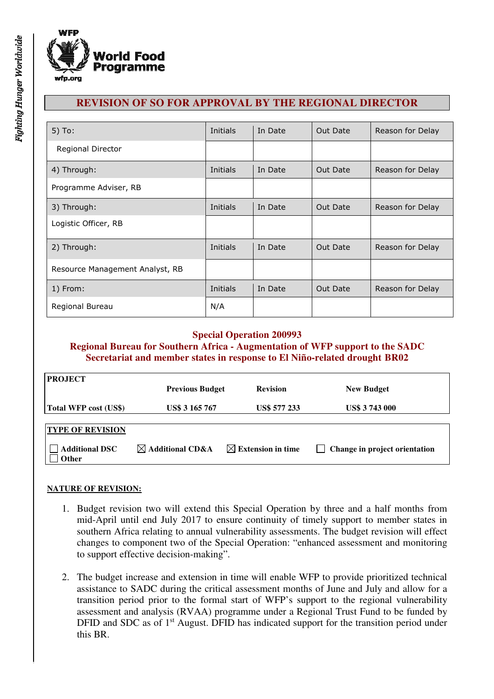

# **REVISION OF SO FOR APPROVAL BY THE REGIONAL DIRECTOR**

| $5)$ To:                        | Initials | In Date | Out Date | Reason for Delay |
|---------------------------------|----------|---------|----------|------------------|
| Regional Director               |          |         |          |                  |
| 4) Through:                     | Initials | In Date | Out Date | Reason for Delay |
| Programme Adviser, RB           |          |         |          |                  |
| 3) Through:                     | Initials | In Date | Out Date | Reason for Delay |
| Logistic Officer, RB            |          |         |          |                  |
| 2) Through:                     | Initials | In Date | Out Date | Reason for Delay |
| Resource Management Analyst, RB |          |         |          |                  |
| 1) From:                        | Initials | In Date | Out Date | Reason for Delay |
| Regional Bureau                 | N/A      |         |          |                  |

# **Special Operation 200993**

**Regional Bureau for Southern Africa - Augmentation of WFP support to the SADC Secretariat and member states in response to El Niño-related drought BR02**

| <b>PROJECT</b>                        | <b>Previous Budget</b>      | <b>Revision</b>               | <b>New Budget</b>             |
|---------------------------------------|-----------------------------|-------------------------------|-------------------------------|
| Total WFP cost (US\$)                 | <b>US\$ 3 165 767</b>       | <b>US\$ 577 233</b>           | <b>US\$ 3743000</b>           |
| <b>TYPE OF REVISION</b>               |                             |                               |                               |
| <b>Additional DSC</b><br><b>Other</b> | $\boxtimes$ Additional CD&A | $\boxtimes$ Extension in time | Change in project orientation |

#### **NATURE OF REVISION:**

- 1. Budget revision two will extend this Special Operation by three and a half months from mid-April until end July 2017 to ensure continuity of timely support to member states in southern Africa relating to annual vulnerability assessments. The budget revision will effect changes to component two of the Special Operation: "enhanced assessment and monitoring to support effective decision-making".
- 2. The budget increase and extension in time will enable WFP to provide prioritized technical assistance to SADC during the critical assessment months of June and July and allow for a transition period prior to the formal start of WFP's support to the regional vulnerability assessment and analysis (RVAA) programme under a Regional Trust Fund to be funded by DFID and SDC as of 1<sup>st</sup> August. DFID has indicated support for the transition period under this BR.